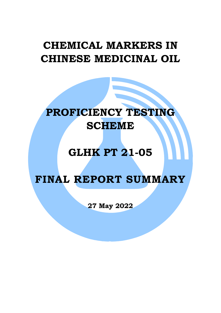## **CHEMICAL MARKERS IN CHINESE MEDICINAL OIL**

# **PROFICIENCY TESTING SCHEME**

### **GLHK PT 21-05**

### **FINAL REPORT SUMMARY**

**27 May 2022**